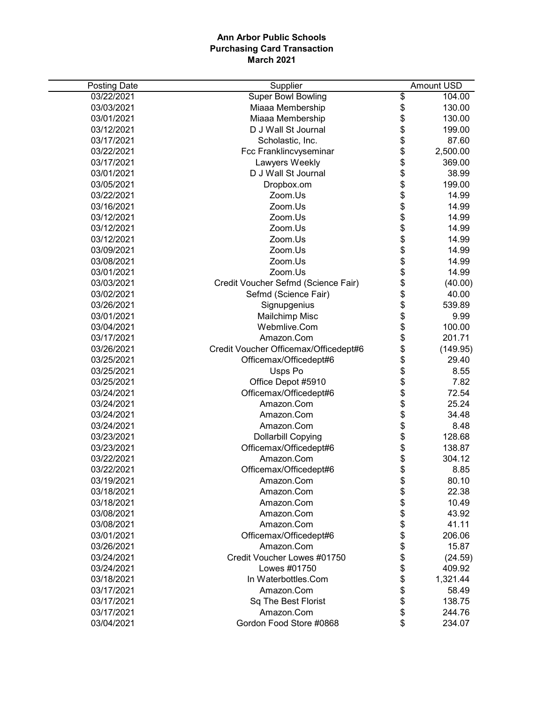| <b>Posting Date</b> | Supplier                              |                                    | <b>Amount USD</b> |
|---------------------|---------------------------------------|------------------------------------|-------------------|
| 03/22/2021          | <b>Super Bowl Bowling</b>             | \$                                 | 104.00            |
| 03/03/2021          | Miaaa Membership                      | \$                                 | 130.00            |
| 03/01/2021          | Miaaa Membership                      |                                    | 130.00            |
| 03/12/2021          | D J Wall St Journal                   | \$\$\$\$\$\$\$\$\$\$\$\$\$\$\$\$\$ | 199.00            |
| 03/17/2021          | Scholastic, Inc.                      |                                    | 87.60             |
| 03/22/2021          | Fcc Franklincvyseminar                |                                    | 2,500.00          |
| 03/17/2021          | Lawyers Weekly                        |                                    | 369.00            |
| 03/01/2021          | D J Wall St Journal                   |                                    | 38.99             |
| 03/05/2021          | Dropbox.om                            |                                    | 199.00            |
| 03/22/2021          | Zoom.Us                               |                                    | 14.99             |
| 03/16/2021          | Zoom.Us                               |                                    | 14.99             |
| 03/12/2021          | Zoom.Us                               |                                    | 14.99             |
| 03/12/2021          | Zoom.Us                               |                                    | 14.99             |
| 03/12/2021          | Zoom.Us                               |                                    | 14.99             |
| 03/09/2021          | Zoom.Us                               |                                    | 14.99             |
| 03/08/2021          | Zoom.Us                               |                                    | 14.99             |
| 03/01/2021          | Zoom.Us                               |                                    | 14.99             |
| 03/03/2021          | Credit Voucher Sefmd (Science Fair)   | \$                                 | (40.00)           |
| 03/02/2021          | Sefmd (Science Fair)                  | \$                                 | 40.00             |
| 03/26/2021          | Signupgenius                          |                                    | 539.89            |
| 03/01/2021          | Mailchimp Misc                        |                                    | 9.99              |
| 03/04/2021          | Webmlive.Com                          |                                    | 100.00            |
| 03/17/2021          | Amazon.Com                            |                                    | 201.71            |
| 03/26/2021          | Credit Voucher Officemax/Officedept#6 | \$\$\$\$\$                         | (149.95)          |
| 03/25/2021          | Officemax/Officedept#6                | \$                                 | 29.40             |
| 03/25/2021          | Usps Po                               | \$                                 | 8.55              |
| 03/25/2021          | Office Depot #5910                    | \$                                 | 7.82              |
| 03/24/2021          | Officemax/Officedept#6                | \$                                 | 72.54             |
| 03/24/2021          | Amazon.Com                            | \$\$\$\$\$\$                       | 25.24             |
| 03/24/2021          | Amazon.Com                            |                                    | 34.48             |
| 03/24/2021          | Amazon.Com                            |                                    | 8.48              |
| 03/23/2021          | <b>Dollarbill Copying</b>             |                                    | 128.68            |
| 03/23/2021          | Officemax/Officedept#6                |                                    | 138.87            |
| 03/22/2021          | Amazon.Com                            |                                    | 304.12            |
| 03/22/2021          | Officemax/Officedept#6                | \$                                 | 8.85              |
| 03/19/2021          | Amazon.Com                            | \$                                 | 80.10             |
| 03/18/2021          | Amazon.Com                            |                                    | 22.38             |
| 03/18/2021          | Amazon.Com                            |                                    | 10.49             |
| 03/08/2021          | Amazon.Com                            |                                    | 43.92             |
| 03/08/2021          | Amazon.Com                            |                                    | 41.11             |
| 03/01/2021          | Officemax/Officedept#6                |                                    | 206.06            |
| 03/26/2021          | Amazon.Com                            | <b>\$\$\$\$\$\$\$</b>              | 15.87             |
| 03/24/2021          | Credit Voucher Lowes #01750           |                                    | (24.59)           |
| 03/24/2021          | Lowes #01750                          | \$                                 | 409.92            |
| 03/18/2021          | In Waterbottles.Com                   | \$                                 | 1,321.44          |
| 03/17/2021          | Amazon.Com                            | \$                                 | 58.49             |
| 03/17/2021          | Sq The Best Florist                   | \$                                 | 138.75            |
| 03/17/2021          | Amazon.Com                            | \$                                 | 244.76            |
| 03/04/2021          | Gordon Food Store #0868               | \$                                 | 234.07            |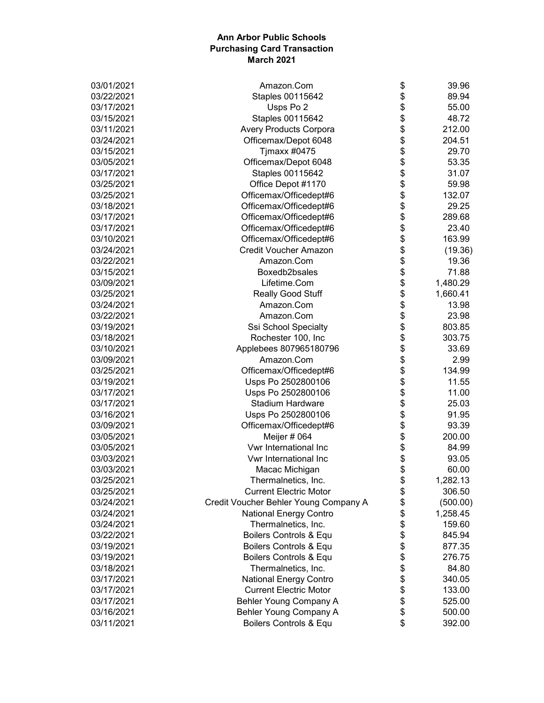| 03/01/2021 | Amazon.Com                            | \$       | 39.96    |
|------------|---------------------------------------|----------|----------|
| 03/22/2021 | Staples 00115642                      | \$       | 89.94    |
| 03/17/2021 | Usps Po 2                             | \$       | 55.00    |
| 03/15/2021 | Staples 00115642                      | \$       | 48.72    |
| 03/11/2021 | <b>Avery Products Corpora</b>         | \$       | 212.00   |
| 03/24/2021 | Officemax/Depot 6048                  | \$       | 204.51   |
| 03/15/2021 | Tjmaxx #0475                          | \$       | 29.70    |
| 03/05/2021 | Officemax/Depot 6048                  | \$       | 53.35    |
| 03/17/2021 | Staples 00115642                      | \$       | 31.07    |
| 03/25/2021 | Office Depot #1170                    | \$       | 59.98    |
| 03/25/2021 | Officemax/Officedept#6                | \$       | 132.07   |
| 03/18/2021 | Officemax/Officedept#6                | \$       | 29.25    |
| 03/17/2021 | Officemax/Officedept#6                | \$       | 289.68   |
| 03/17/2021 | Officemax/Officedept#6                | \$       | 23.40    |
| 03/10/2021 | Officemax/Officedept#6                | \$       | 163.99   |
| 03/24/2021 | <b>Credit Voucher Amazon</b>          | \$       | (19.36)  |
| 03/22/2021 | Amazon.Com                            | \$       | 19.36    |
| 03/15/2021 | Boxedb2bsales                         | \$       | 71.88    |
| 03/09/2021 | Lifetime.Com                          | \$       | 1,480.29 |
| 03/25/2021 | <b>Really Good Stuff</b>              | \$       | 1,660.41 |
| 03/24/2021 | Amazon.Com                            | \$       | 13.98    |
| 03/22/2021 | Amazon.Com                            | \$       | 23.98    |
| 03/19/2021 | Ssi School Specialty                  | \$       | 803.85   |
| 03/18/2021 | Rochester 100, Inc                    | \$       | 303.75   |
| 03/10/2021 | Applebees 807965180796                | \$       | 33.69    |
| 03/09/2021 | Amazon.Com                            | \$       | 2.99     |
| 03/25/2021 | Officemax/Officedept#6                | \$       | 134.99   |
| 03/19/2021 | Usps Po 2502800106                    | \$       | 11.55    |
| 03/17/2021 | Usps Po 2502800106                    | \$       | 11.00    |
| 03/17/2021 | <b>Stadium Hardware</b>               | \$       | 25.03    |
| 03/16/2021 | Usps Po 2502800106                    | \$       | 91.95    |
| 03/09/2021 | Officemax/Officedept#6                | \$       | 93.39    |
| 03/05/2021 | Meijer # 064                          | \$       | 200.00   |
| 03/05/2021 | Vwr International Inc                 | \$       | 84.99    |
| 03/03/2021 | Vwr International Inc                 | \$       | 93.05    |
| 03/03/2021 | Macac Michigan                        | \$       | 60.00    |
| 03/25/2021 | Thermalnetics, Inc.                   |          | 1,282.13 |
| 03/25/2021 | <b>Current Electric Motor</b>         | \$<br>\$ | 306.50   |
| 03/24/2021 | Credit Voucher Behler Young Company A | \$       | (500.00) |
| 03/24/2021 | <b>National Energy Contro</b>         | \$       | 1,258.45 |
| 03/24/2021 | Thermalnetics, Inc.                   | \$       | 159.60   |
| 03/22/2021 | Boilers Controls & Equ                | \$       | 845.94   |
| 03/19/2021 | Boilers Controls & Equ                | \$       | 877.35   |
| 03/19/2021 | Boilers Controls & Equ                | \$       | 276.75   |
| 03/18/2021 | Thermalnetics, Inc.                   | \$       | 84.80    |
| 03/17/2021 | <b>National Energy Contro</b>         | \$       | 340.05   |
| 03/17/2021 | <b>Current Electric Motor</b>         | \$       | 133.00   |
| 03/17/2021 | Behler Young Company A                | \$       | 525.00   |
| 03/16/2021 | Behler Young Company A                | \$       | 500.00   |
| 03/11/2021 | Boilers Controls & Equ                | \$       | 392.00   |
|            |                                       |          |          |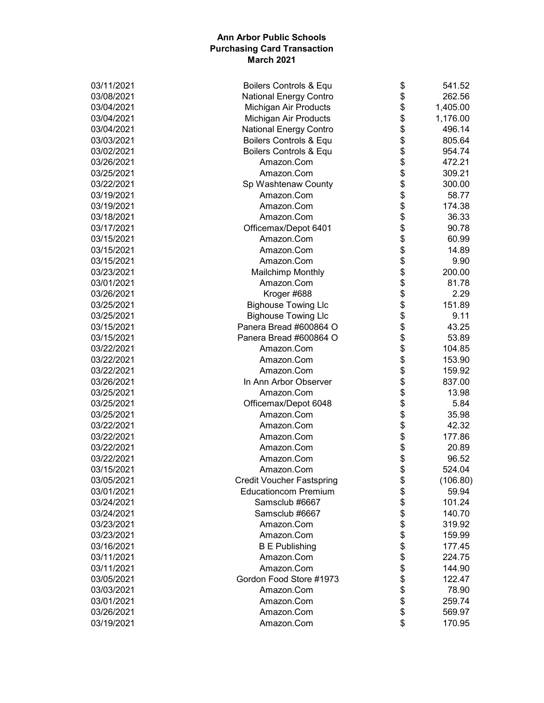| 03/11/2021 | Boilers Controls & Equ           | \$ | 541.52   |
|------------|----------------------------------|----|----------|
| 03/08/2021 | <b>National Energy Contro</b>    | \$ | 262.56   |
| 03/04/2021 | Michigan Air Products            | \$ | 1,405.00 |
| 03/04/2021 | Michigan Air Products            | \$ | 1,176.00 |
| 03/04/2021 | <b>National Energy Contro</b>    | \$ | 496.14   |
| 03/03/2021 | Boilers Controls & Equ           | \$ | 805.64   |
| 03/02/2021 | Boilers Controls & Equ           | \$ | 954.74   |
| 03/26/2021 | Amazon.Com                       | \$ | 472.21   |
| 03/25/2021 | Amazon.Com                       | \$ | 309.21   |
| 03/22/2021 | Sp Washtenaw County              | \$ | 300.00   |
| 03/19/2021 | Amazon.Com                       | \$ | 58.77    |
| 03/19/2021 | Amazon.Com                       | \$ | 174.38   |
| 03/18/2021 | Amazon.Com                       | \$ | 36.33    |
| 03/17/2021 | Officemax/Depot 6401             | \$ | 90.78    |
| 03/15/2021 | Amazon.Com                       | \$ | 60.99    |
| 03/15/2021 | Amazon.Com                       | \$ | 14.89    |
| 03/15/2021 | Amazon.Com                       | \$ | 9.90     |
| 03/23/2021 | <b>Mailchimp Monthly</b>         | \$ | 200.00   |
| 03/01/2021 | Amazon.Com                       | \$ | 81.78    |
| 03/26/2021 | Kroger #688                      | \$ | 2.29     |
| 03/25/2021 | <b>Bighouse Towing Llc</b>       | \$ | 151.89   |
| 03/25/2021 | <b>Bighouse Towing Llc</b>       | \$ | 9.11     |
| 03/15/2021 | Panera Bread #600864 O           | \$ | 43.25    |
| 03/15/2021 | Panera Bread #600864 O           | \$ | 53.89    |
| 03/22/2021 | Amazon.Com                       | \$ | 104.85   |
| 03/22/2021 | Amazon.Com                       | \$ | 153.90   |
| 03/22/2021 | Amazon.Com                       | \$ | 159.92   |
| 03/26/2021 | In Ann Arbor Observer            | \$ | 837.00   |
| 03/25/2021 | Amazon.Com                       | \$ | 13.98    |
| 03/25/2021 | Officemax/Depot 6048             | \$ | 5.84     |
| 03/25/2021 | Amazon.Com                       | \$ | 35.98    |
| 03/22/2021 | Amazon.Com                       | \$ | 42.32    |
| 03/22/2021 | Amazon.Com                       | \$ | 177.86   |
| 03/22/2021 | Amazon.Com                       | \$ | 20.89    |
| 03/22/2021 | Amazon.Com                       | \$ | 96.52    |
| 03/15/2021 | Amazon.Com                       | \$ | 524.04   |
| 03/05/2021 | <b>Credit Voucher Fastspring</b> | Φ  | (106.80) |
| 03/01/2021 | <b>Educationcom Premium</b>      | \$ | 59.94    |
| 03/24/2021 | Samsclub #6667                   | \$ | 101.24   |
| 03/24/2021 | Samsclub #6667                   | \$ | 140.70   |
| 03/23/2021 | Amazon.Com                       | \$ | 319.92   |
| 03/23/2021 | Amazon.Com                       | \$ | 159.99   |
| 03/16/2021 | <b>B E Publishing</b>            | \$ | 177.45   |
| 03/11/2021 | Amazon.Com                       | \$ | 224.75   |
| 03/11/2021 | Amazon.Com                       | \$ | 144.90   |
| 03/05/2021 | Gordon Food Store #1973          | \$ | 122.47   |
| 03/03/2021 | Amazon.Com                       | \$ | 78.90    |
| 03/01/2021 | Amazon.Com                       | \$ | 259.74   |
| 03/26/2021 | Amazon.Com                       | \$ | 569.97   |
| 03/19/2021 | Amazon.Com                       | \$ | 170.95   |
|            |                                  |    |          |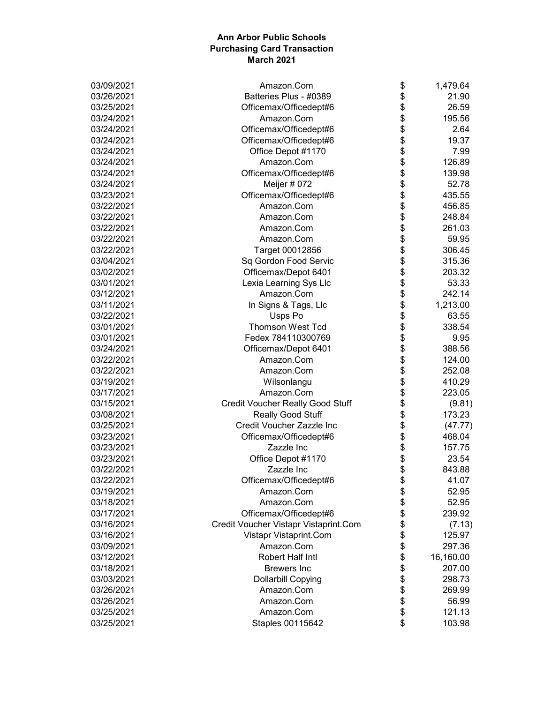| 03/09/2021 | Amazon.Com                              | \$<br>1,479.64  |
|------------|-----------------------------------------|-----------------|
| 03/26/2021 | Batteries Plus - #0389                  | \$<br>21.90     |
| 03/25/2021 | Officemax/Officedept#6                  | \$<br>26.59     |
| 03/24/2021 | Amazon.Com                              | \$<br>195.56    |
| 03/24/2021 | Officemax/Officedept#6                  | \$<br>2.64      |
| 03/24/2021 | Officemax/Officedept#6                  | \$<br>19.37     |
| 03/24/2021 | Office Depot #1170                      | \$<br>7.99      |
| 03/24/2021 | Amazon.Com                              | \$<br>126.89    |
| 03/24/2021 | Officemax/Officedept#6                  | \$<br>139.98    |
| 03/24/2021 | Meijer # 072                            | \$<br>52.78     |
| 03/23/2021 | Officemax/Officedept#6                  | \$<br>435.55    |
| 03/22/2021 | Amazon.Com                              | \$<br>456.85    |
| 03/22/2021 | Amazon.Com                              | \$<br>248.84    |
| 03/22/2021 | Amazon.Com                              | \$<br>261.03    |
| 03/22/2021 | Amazon.Com                              | \$<br>59.95     |
| 03/22/2021 | Target 00012856                         | \$<br>306.45    |
| 03/04/2021 | Sq Gordon Food Servic                   | \$<br>315.36    |
| 03/02/2021 | Officemax/Depot 6401                    | \$<br>203.32    |
| 03/01/2021 | Lexia Learning Sys Llc                  | \$<br>53.33     |
| 03/12/2021 | Amazon.Com                              | \$<br>242.14    |
| 03/11/2021 | In Signs & Tags, Llc                    | \$<br>1,213.00  |
| 03/22/2021 | Usps Po                                 | \$<br>63.55     |
| 03/01/2021 | <b>Thomson West Tcd</b>                 | \$<br>338.54    |
| 03/01/2021 | Fedex 784110300769                      | \$<br>9.95      |
| 03/24/2021 | Officemax/Depot 6401                    | \$<br>388.56    |
| 03/22/2021 | Amazon.Com                              | \$<br>124.00    |
| 03/22/2021 | Amazon.Com                              | \$<br>252.08    |
| 03/19/2021 | Wilsonlangu                             | \$<br>410.29    |
| 03/17/2021 | Amazon.Com                              | \$<br>223.05    |
| 03/15/2021 | <b>Credit Voucher Really Good Stuff</b> | \$<br>(9.81)    |
| 03/08/2021 | Really Good Stuff                       | \$<br>173.23    |
| 03/25/2021 | Credit Voucher Zazzle Inc               | \$<br>(47.77)   |
| 03/23/2021 | Officemax/Officedept#6                  | \$<br>468.04    |
| 03/23/2021 | Zazzle Inc                              | \$<br>157.75    |
| 03/23/2021 | Office Depot #1170                      | \$<br>23.54     |
| 03/22/2021 | Zazzle Inc                              | \$<br>843.88    |
| 03/22/2021 | Officemax/Officedept#6                  | \$<br>41.07     |
| 03/19/2021 | Amazon.Com                              | \$<br>52.95     |
| 03/18/2021 | Amazon.Com                              | \$<br>52.95     |
| 03/17/2021 | Officemax/Officedept#6                  | \$<br>239.92    |
| 03/16/2021 | Credit Voucher Vistapr Vistaprint.Com   | \$<br>(7.13)    |
| 03/16/2021 | Vistapr Vistaprint.Com                  | \$<br>125.97    |
| 03/09/2021 | Amazon.Com                              | \$<br>297.36    |
| 03/12/2021 | Robert Half Intl                        | \$<br>16,160.00 |
| 03/18/2021 | <b>Brewers</b> Inc                      | \$<br>207.00    |
| 03/03/2021 | <b>Dollarbill Copying</b>               | \$<br>298.73    |
| 03/26/2021 | Amazon.Com                              | \$<br>269.99    |
| 03/26/2021 | Amazon.Com                              | \$<br>56.99     |
| 03/25/2021 | Amazon.Com                              | \$<br>121.13    |
| 03/25/2021 | Staples 00115642                        | \$<br>103.98    |
|            |                                         |                 |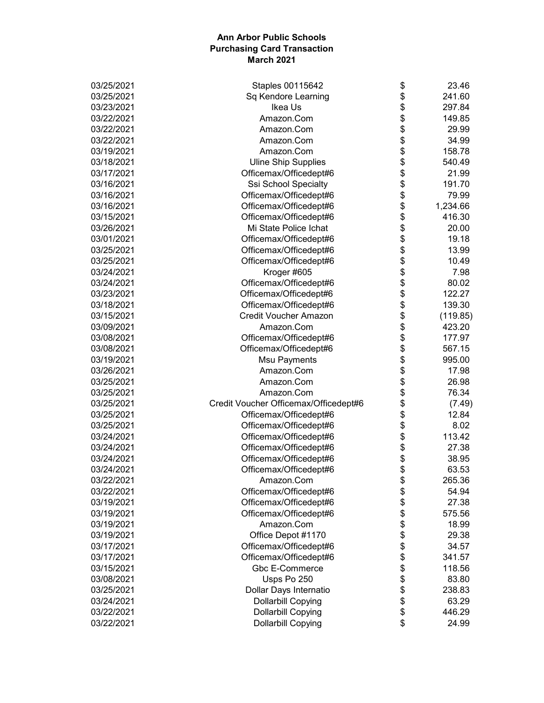| 03/25/2021 | Staples 00115642                      | \$<br>23.46    |
|------------|---------------------------------------|----------------|
| 03/25/2021 | Sq Kendore Learning                   | \$<br>241.60   |
| 03/23/2021 | Ikea Us                               | \$<br>297.84   |
| 03/22/2021 | Amazon.Com                            | \$<br>149.85   |
| 03/22/2021 | Amazon.Com                            | \$<br>29.99    |
| 03/22/2021 | Amazon.Com                            | \$<br>34.99    |
| 03/19/2021 | Amazon.Com                            | \$<br>158.78   |
| 03/18/2021 | <b>Uline Ship Supplies</b>            | \$<br>540.49   |
| 03/17/2021 | Officemax/Officedept#6                | \$<br>21.99    |
| 03/16/2021 | Ssi School Specialty                  | \$<br>191.70   |
| 03/16/2021 | Officemax/Officedept#6                | \$<br>79.99    |
| 03/16/2021 | Officemax/Officedept#6                | \$<br>1,234.66 |
| 03/15/2021 | Officemax/Officedept#6                | \$<br>416.30   |
| 03/26/2021 | Mi State Police Ichat                 | \$<br>20.00    |
| 03/01/2021 | Officemax/Officedept#6                | \$<br>19.18    |
| 03/25/2021 | Officemax/Officedept#6                | \$<br>13.99    |
| 03/25/2021 | Officemax/Officedept#6                | \$<br>10.49    |
| 03/24/2021 | Kroger #605                           | \$<br>7.98     |
| 03/24/2021 | Officemax/Officedept#6                | \$<br>80.02    |
| 03/23/2021 | Officemax/Officedept#6                | \$<br>122.27   |
| 03/18/2021 | Officemax/Officedept#6                | \$<br>139.30   |
| 03/15/2021 | <b>Credit Voucher Amazon</b>          | \$<br>(119.85) |
| 03/09/2021 | Amazon.Com                            | \$<br>423.20   |
| 03/08/2021 | Officemax/Officedept#6                | \$<br>177.97   |
| 03/08/2021 |                                       | \$<br>567.15   |
| 03/19/2021 | Officemax/Officedept#6                | \$<br>995.00   |
|            | <b>Msu Payments</b><br>Amazon.Com     |                |
| 03/26/2021 |                                       | \$<br>17.98    |
| 03/25/2021 | Amazon.Com                            | \$<br>26.98    |
| 03/25/2021 | Amazon.Com                            | \$<br>76.34    |
| 03/25/2021 | Credit Voucher Officemax/Officedept#6 | \$<br>(7.49)   |
| 03/25/2021 | Officemax/Officedept#6                | \$<br>12.84    |
| 03/25/2021 | Officemax/Officedept#6                | \$<br>8.02     |
| 03/24/2021 | Officemax/Officedept#6                | \$<br>113.42   |
| 03/24/2021 | Officemax/Officedept#6                | \$<br>27.38    |
| 03/24/2021 | Officemax/Officedept#6                | \$<br>38.95    |
| 03/24/2021 | Officemax/Officedept#6                | \$<br>63.53    |
| 03/22/2021 | Amazon.Com                            | \$<br>265.36   |
| 03/22/2021 | Officemax/Officedept#6                | \$<br>54.94    |
| 03/19/2021 | Officemax/Officedept#6                | \$<br>27.38    |
| 03/19/2021 | Officemax/Officedept#6                | \$<br>575.56   |
| 03/19/2021 | Amazon.Com                            | \$<br>18.99    |
| 03/19/2021 | Office Depot #1170                    | \$<br>29.38    |
| 03/17/2021 | Officemax/Officedept#6                | \$<br>34.57    |
| 03/17/2021 | Officemax/Officedept#6                | \$<br>341.57   |
| 03/15/2021 | Gbc E-Commerce                        | \$<br>118.56   |
| 03/08/2021 | Usps Po 250                           | \$<br>83.80    |
| 03/25/2021 | Dollar Days Internatio                | \$<br>238.83   |
| 03/24/2021 | <b>Dollarbill Copying</b>             | \$<br>63.29    |
| 03/22/2021 | <b>Dollarbill Copying</b>             | \$<br>446.29   |
| 03/22/2021 | <b>Dollarbill Copying</b>             | \$<br>24.99    |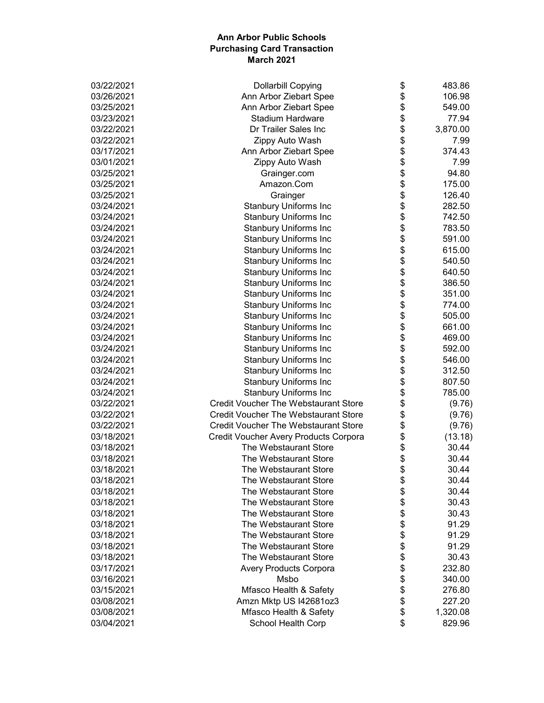| 03/22/2021 | <b>Dollarbill Copying</b>                   | \$<br>483.86   |
|------------|---------------------------------------------|----------------|
| 03/26/2021 | Ann Arbor Ziebart Spee                      | \$<br>106.98   |
| 03/25/2021 | Ann Arbor Ziebart Spee                      | \$<br>549.00   |
| 03/23/2021 | <b>Stadium Hardware</b>                     | \$<br>77.94    |
| 03/22/2021 | Dr Trailer Sales Inc                        | \$<br>3,870.00 |
| 03/22/2021 | Zippy Auto Wash                             | \$<br>7.99     |
| 03/17/2021 | Ann Arbor Ziebart Spee                      | \$<br>374.43   |
| 03/01/2021 | Zippy Auto Wash                             | \$<br>7.99     |
| 03/25/2021 | Grainger.com                                | \$<br>94.80    |
| 03/25/2021 | Amazon.Com                                  | \$<br>175.00   |
| 03/25/2021 | Grainger                                    | \$<br>126.40   |
| 03/24/2021 | <b>Stanbury Uniforms Inc</b>                | \$<br>282.50   |
| 03/24/2021 | <b>Stanbury Uniforms Inc</b>                | \$<br>742.50   |
| 03/24/2021 | <b>Stanbury Uniforms Inc</b>                | \$<br>783.50   |
| 03/24/2021 | <b>Stanbury Uniforms Inc</b>                | \$<br>591.00   |
| 03/24/2021 | <b>Stanbury Uniforms Inc</b>                | \$<br>615.00   |
| 03/24/2021 | <b>Stanbury Uniforms Inc</b>                | \$<br>540.50   |
| 03/24/2021 | <b>Stanbury Uniforms Inc</b>                | \$<br>640.50   |
| 03/24/2021 | <b>Stanbury Uniforms Inc</b>                | \$<br>386.50   |
| 03/24/2021 | <b>Stanbury Uniforms Inc</b>                | \$<br>351.00   |
| 03/24/2021 | <b>Stanbury Uniforms Inc</b>                | \$<br>774.00   |
| 03/24/2021 | <b>Stanbury Uniforms Inc</b>                | \$<br>505.00   |
| 03/24/2021 | <b>Stanbury Uniforms Inc</b>                | \$<br>661.00   |
| 03/24/2021 | <b>Stanbury Uniforms Inc</b>                | \$<br>469.00   |
| 03/24/2021 | <b>Stanbury Uniforms Inc</b>                | \$<br>592.00   |
| 03/24/2021 | <b>Stanbury Uniforms Inc</b>                | \$<br>546.00   |
| 03/24/2021 | <b>Stanbury Uniforms Inc</b>                | \$<br>312.50   |
| 03/24/2021 | <b>Stanbury Uniforms Inc</b>                | \$<br>807.50   |
| 03/24/2021 | <b>Stanbury Uniforms Inc</b>                | \$<br>785.00   |
| 03/22/2021 | <b>Credit Voucher The Webstaurant Store</b> | \$<br>(9.76)   |
| 03/22/2021 | <b>Credit Voucher The Webstaurant Store</b> | \$<br>(9.76)   |
| 03/22/2021 | <b>Credit Voucher The Webstaurant Store</b> | \$<br>(9.76)   |
| 03/18/2021 | Credit Voucher Avery Products Corpora       | \$<br>(13.18)  |
| 03/18/2021 | The Webstaurant Store                       | \$<br>30.44    |
| 03/18/2021 | The Webstaurant Store                       | \$<br>30.44    |
| 03/18/2021 | The Webstaurant Store                       | \$<br>30.44    |
| 03/18/2021 | The Webstaurant Store                       | \$<br>30.44    |
| 03/18/2021 | The Webstaurant Store                       | \$<br>30.44    |
| 03/18/2021 | The Webstaurant Store                       | \$<br>30.43    |
| 03/18/2021 | The Webstaurant Store                       | \$<br>30.43    |
| 03/18/2021 | The Webstaurant Store                       | \$<br>91.29    |
| 03/18/2021 | The Webstaurant Store                       | \$<br>91.29    |
| 03/18/2021 | The Webstaurant Store                       | \$<br>91.29    |
| 03/18/2021 | The Webstaurant Store                       | \$<br>30.43    |
| 03/17/2021 | <b>Avery Products Corpora</b>               | \$<br>232.80   |
| 03/16/2021 | Msbo                                        | \$<br>340.00   |
| 03/15/2021 | Mfasco Health & Safety                      | \$<br>276.80   |
| 03/08/2021 | Amzn Mktp US I42681oz3                      | \$<br>227.20   |
| 03/08/2021 | Mfasco Health & Safety                      | \$<br>1,320.08 |
| 03/04/2021 | School Health Corp                          | \$<br>829.96   |
|            |                                             |                |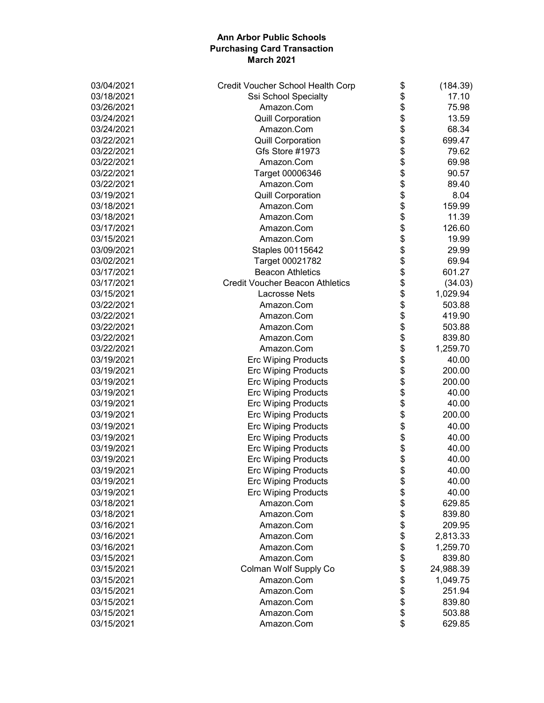| 03/04/2021 | Credit Voucher School Health Corp      | \$<br>(184.39)  |
|------------|----------------------------------------|-----------------|
| 03/18/2021 | <b>Ssi School Specialty</b>            | \$<br>17.10     |
| 03/26/2021 | Amazon.Com                             | \$<br>75.98     |
| 03/24/2021 | <b>Quill Corporation</b>               | \$<br>13.59     |
| 03/24/2021 | Amazon.Com                             | \$<br>68.34     |
| 03/22/2021 | <b>Quill Corporation</b>               | \$<br>699.47    |
| 03/22/2021 | Gfs Store #1973                        | \$<br>79.62     |
| 03/22/2021 | Amazon.Com                             | \$<br>69.98     |
| 03/22/2021 | Target 00006346                        | \$<br>90.57     |
| 03/22/2021 | Amazon.Com                             | \$<br>89.40     |
| 03/19/2021 | <b>Quill Corporation</b>               | \$<br>8.04      |
| 03/18/2021 | Amazon.Com                             | \$<br>159.99    |
| 03/18/2021 | Amazon.Com                             | \$<br>11.39     |
| 03/17/2021 | Amazon.Com                             | \$<br>126.60    |
| 03/15/2021 | Amazon.Com                             | \$<br>19.99     |
| 03/09/2021 | Staples 00115642                       | \$<br>29.99     |
| 03/02/2021 | Target 00021782                        | \$<br>69.94     |
| 03/17/2021 | <b>Beacon Athletics</b>                | \$<br>601.27    |
| 03/17/2021 | <b>Credit Voucher Beacon Athletics</b> | \$<br>(34.03)   |
| 03/15/2021 | Lacrosse Nets                          | \$<br>1,029.94  |
| 03/22/2021 | Amazon.Com                             | \$<br>503.88    |
| 03/22/2021 | Amazon.Com                             | \$<br>419.90    |
| 03/22/2021 | Amazon.Com                             | \$<br>503.88    |
| 03/22/2021 | Amazon.Com                             | \$<br>839.80    |
| 03/22/2021 | Amazon.Com                             | \$<br>1,259.70  |
| 03/19/2021 |                                        | 40.00           |
|            | <b>Erc Wiping Products</b>             | \$              |
| 03/19/2021 | <b>Erc Wiping Products</b>             | \$<br>200.00    |
| 03/19/2021 | <b>Erc Wiping Products</b>             | \$<br>200.00    |
| 03/19/2021 | <b>Erc Wiping Products</b>             | \$<br>40.00     |
| 03/19/2021 | <b>Erc Wiping Products</b>             | \$<br>40.00     |
| 03/19/2021 | <b>Erc Wiping Products</b>             | \$<br>200.00    |
| 03/19/2021 | <b>Erc Wiping Products</b>             | \$<br>40.00     |
| 03/19/2021 | <b>Erc Wiping Products</b>             | \$<br>40.00     |
| 03/19/2021 | <b>Erc Wiping Products</b>             | \$<br>40.00     |
| 03/19/2021 | <b>Erc Wiping Products</b>             | \$<br>40.00     |
| 03/19/2021 | <b>Erc Wiping Products</b>             | \$<br>40.00     |
| 03/19/2021 | <b>Erc Wiping Products</b>             | \$<br>40.00     |
| 03/19/2021 | <b>Erc Wiping Products</b>             | \$<br>40.00     |
| 03/18/2021 | Amazon.Com                             | \$<br>629.85    |
| 03/18/2021 | Amazon.Com                             | \$<br>839.80    |
| 03/16/2021 | Amazon.Com                             | \$<br>209.95    |
| 03/16/2021 | Amazon.Com                             | \$<br>2,813.33  |
| 03/16/2021 | Amazon.Com                             | \$<br>1,259.70  |
| 03/15/2021 | Amazon.Com                             | \$<br>839.80    |
| 03/15/2021 | Colman Wolf Supply Co                  | \$<br>24,988.39 |
| 03/15/2021 | Amazon.Com                             | \$<br>1,049.75  |
| 03/15/2021 | Amazon.Com                             | \$<br>251.94    |
| 03/15/2021 | Amazon.Com                             | \$<br>839.80    |
| 03/15/2021 | Amazon.Com                             | \$<br>503.88    |
| 03/15/2021 | Amazon.Com                             | \$<br>629.85    |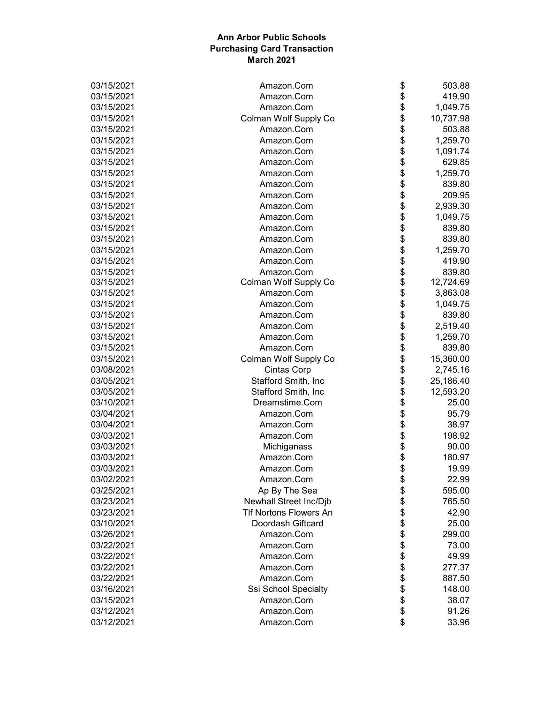| 03/15/2021 | Amazon.Com                    | \$     | 503.88    |
|------------|-------------------------------|--------|-----------|
| 03/15/2021 | Amazon.Com                    | \$     | 419.90    |
| 03/15/2021 | Amazon.Com                    | \$     | 1,049.75  |
| 03/15/2021 | Colman Wolf Supply Co         | \$     | 10,737.98 |
| 03/15/2021 | Amazon.Com                    | \$     | 503.88    |
| 03/15/2021 | Amazon.Com                    | \$     | 1,259.70  |
| 03/15/2021 | Amazon.Com                    | \$     | 1,091.74  |
| 03/15/2021 | Amazon.Com                    | \$     | 629.85    |
| 03/15/2021 | Amazon.Com                    | \$     | 1,259.70  |
| 03/15/2021 | Amazon.Com                    | \$     | 839.80    |
| 03/15/2021 | Amazon.Com                    | \$     | 209.95    |
| 03/15/2021 | Amazon.Com                    | \$     | 2,939.30  |
| 03/15/2021 | Amazon.Com                    | \$     | 1,049.75  |
| 03/15/2021 | Amazon.Com                    | \$     | 839.80    |
| 03/15/2021 | Amazon.Com                    | \$     | 839.80    |
| 03/15/2021 | Amazon.Com                    | \$     | 1,259.70  |
| 03/15/2021 | Amazon.Com                    | \$     | 419.90    |
| 03/15/2021 | Amazon.Com                    | \$     | 839.80    |
| 03/15/2021 | Colman Wolf Supply Co         | \$     | 12,724.69 |
| 03/15/2021 | Amazon.Com                    | \$     | 3,863.08  |
| 03/15/2021 | Amazon.Com                    | \$     | 1,049.75  |
| 03/15/2021 | Amazon.Com                    | \$     | 839.80    |
| 03/15/2021 | Amazon.Com                    | \$     | 2,519.40  |
| 03/15/2021 | Amazon.Com                    | \$     | 1,259.70  |
| 03/15/2021 | Amazon.Com                    | \$     | 839.80    |
| 03/15/2021 | Colman Wolf Supply Co         | \$     | 15,360.00 |
| 03/08/2021 | <b>Cintas Corp</b>            | \$     | 2,745.16  |
| 03/05/2021 | Stafford Smith, Inc           | \$     | 25,186.40 |
| 03/05/2021 | Stafford Smith, Inc           | \$     | 12,593.20 |
| 03/10/2021 | Dreamstime.Com                | \$     | 25.00     |
| 03/04/2021 | Amazon.Com                    | \$     | 95.79     |
| 03/04/2021 | Amazon.Com                    | \$     | 38.97     |
| 03/03/2021 | Amazon.Com                    | \$     | 198.92    |
| 03/03/2021 | Michiganass                   | \$     | 90.00     |
| 03/03/2021 | Amazon.Com                    | \$     | 180.97    |
| 03/03/2021 | Amazon.Com                    | \$     | 19.99     |
| 03/02/2021 | Amazon.Com                    | ሖ<br>Φ | 22.99     |
| 03/25/2021 | Ap By The Sea                 | \$     | 595.00    |
| 03/23/2021 | Newhall Street Inc/Djb        | \$     | 765.50    |
| 03/23/2021 | <b>TIf Nortons Flowers An</b> | \$     | 42.90     |
| 03/10/2021 | Doordash Giftcard             | \$     | 25.00     |
| 03/26/2021 | Amazon.Com                    | \$     | 299.00    |
| 03/22/2021 | Amazon.Com                    | \$     | 73.00     |
| 03/22/2021 | Amazon.Com                    |        | 49.99     |
| 03/22/2021 | Amazon.Com                    | \$     | 277.37    |
| 03/22/2021 | Amazon.Com                    | \$     | 887.50    |
| 03/16/2021 | Ssi School Specialty          | \$     | 148.00    |
| 03/15/2021 | Amazon.Com                    | \$     | 38.07     |
| 03/12/2021 | Amazon.Com                    | \$     | 91.26     |
| 03/12/2021 | Amazon.Com                    | \$     | 33.96     |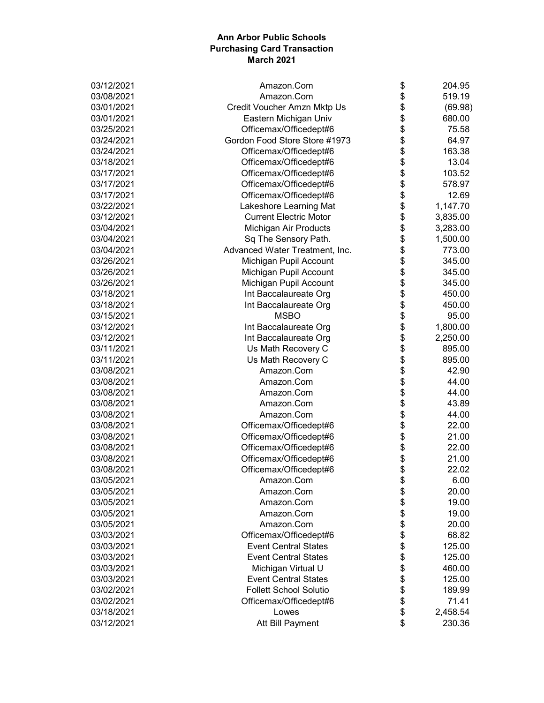| 03/12/2021 | Amazon.Com                     | \$<br>204.95   |
|------------|--------------------------------|----------------|
| 03/08/2021 | Amazon.Com                     | \$<br>519.19   |
| 03/01/2021 | Credit Voucher Amzn Mktp Us    | \$<br>(69.98)  |
| 03/01/2021 | Eastern Michigan Univ          | \$<br>680.00   |
| 03/25/2021 | Officemax/Officedept#6         | \$<br>75.58    |
| 03/24/2021 | Gordon Food Store Store #1973  | \$<br>64.97    |
| 03/24/2021 | Officemax/Officedept#6         | \$<br>163.38   |
| 03/18/2021 | Officemax/Officedept#6         | \$<br>13.04    |
| 03/17/2021 | Officemax/Officedept#6         | \$<br>103.52   |
| 03/17/2021 | Officemax/Officedept#6         | \$<br>578.97   |
| 03/17/2021 | Officemax/Officedept#6         | \$<br>12.69    |
| 03/22/2021 | Lakeshore Learning Mat         | \$<br>1,147.70 |
| 03/12/2021 | <b>Current Electric Motor</b>  | \$<br>3,835.00 |
| 03/04/2021 | Michigan Air Products          | \$<br>3,283.00 |
| 03/04/2021 | Sq The Sensory Path.           | \$<br>1,500.00 |
| 03/04/2021 | Advanced Water Treatment, Inc. | \$<br>773.00   |
| 03/26/2021 | Michigan Pupil Account         | \$<br>345.00   |
| 03/26/2021 | Michigan Pupil Account         | \$<br>345.00   |
| 03/26/2021 | Michigan Pupil Account         | \$<br>345.00   |
| 03/18/2021 | Int Baccalaureate Org          | \$<br>450.00   |
| 03/18/2021 | Int Baccalaureate Org          | \$<br>450.00   |
| 03/15/2021 | <b>MSBO</b>                    | \$<br>95.00    |
| 03/12/2021 | Int Baccalaureate Org          | \$<br>1,800.00 |
| 03/12/2021 | Int Baccalaureate Org          | \$<br>2,250.00 |
| 03/11/2021 | Us Math Recovery C             | \$<br>895.00   |
| 03/11/2021 | Us Math Recovery C             | \$<br>895.00   |
| 03/08/2021 | Amazon.Com                     | \$<br>42.90    |
| 03/08/2021 | Amazon.Com                     | \$<br>44.00    |
| 03/08/2021 | Amazon.Com                     | \$<br>44.00    |
| 03/08/2021 | Amazon.Com                     | \$<br>43.89    |
| 03/08/2021 | Amazon.Com                     | \$<br>44.00    |
| 03/08/2021 | Officemax/Officedept#6         | \$<br>22.00    |
| 03/08/2021 | Officemax/Officedept#6         | \$<br>21.00    |
| 03/08/2021 | Officemax/Officedept#6         | \$<br>22.00    |
| 03/08/2021 | Officemax/Officedept#6         | \$<br>21.00    |
| 03/08/2021 | Officemax/Officedept#6         | \$<br>22.02    |
| 03/05/2021 | Amazon.Com                     | \$<br>6.00     |
| 03/05/2021 | Amazon.Com                     | \$<br>20.00    |
| 03/05/2021 | Amazon.Com                     | \$<br>19.00    |
| 03/05/2021 | Amazon.Com                     | \$<br>19.00    |
| 03/05/2021 | Amazon.Com                     | \$<br>20.00    |
| 03/03/2021 | Officemax/Officedept#6         | \$<br>68.82    |
| 03/03/2021 | <b>Event Central States</b>    | \$<br>125.00   |
| 03/03/2021 | <b>Event Central States</b>    | \$<br>125.00   |
| 03/03/2021 | Michigan Virtual U             | \$<br>460.00   |
| 03/03/2021 | <b>Event Central States</b>    | \$<br>125.00   |
| 03/02/2021 | <b>Follett School Solutio</b>  | \$<br>189.99   |
| 03/02/2021 | Officemax/Officedept#6         | \$<br>71.41    |
| 03/18/2021 | Lowes                          | \$<br>2,458.54 |
| 03/12/2021 | Att Bill Payment               | \$<br>230.36   |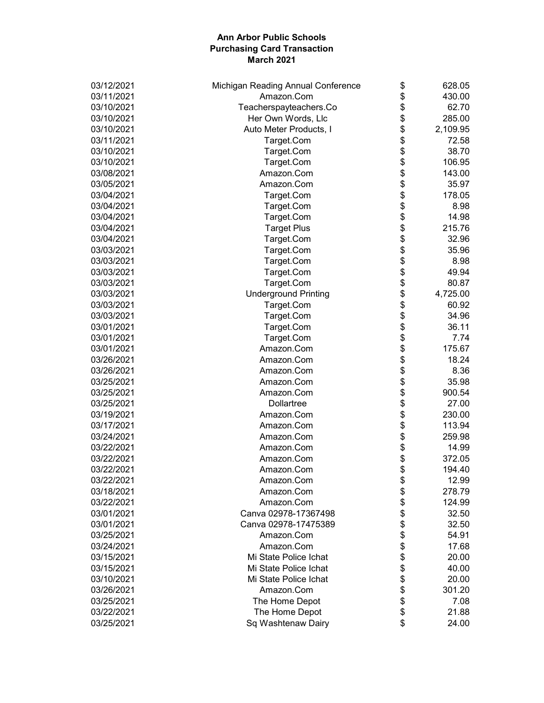| 03/12/2021 | Michigan Reading Annual Conference | \$       | 628.05   |
|------------|------------------------------------|----------|----------|
| 03/11/2021 | Amazon.Com                         | \$       | 430.00   |
| 03/10/2021 | Teacherspayteachers.Co             | \$       | 62.70    |
| 03/10/2021 | Her Own Words, Llc                 | \$       | 285.00   |
| 03/10/2021 | Auto Meter Products, I             | \$       | 2,109.95 |
| 03/11/2021 | Target.Com                         | \$       | 72.58    |
| 03/10/2021 | Target.Com                         |          | 38.70    |
| 03/10/2021 | Target.Com                         | \$<br>\$ | 106.95   |
| 03/08/2021 | Amazon.Com                         | \$       | 143.00   |
| 03/05/2021 | Amazon.Com                         | \$       | 35.97    |
| 03/04/2021 | Target.Com                         | \$       | 178.05   |
| 03/04/2021 | Target.Com                         | \$       | 8.98     |
| 03/04/2021 | Target.Com                         | \$       | 14.98    |
| 03/04/2021 | <b>Target Plus</b>                 | \$       | 215.76   |
| 03/04/2021 | Target.Com                         | \$       | 32.96    |
| 03/03/2021 | Target.Com                         | \$       | 35.96    |
| 03/03/2021 | Target.Com                         | \$       | 8.98     |
| 03/03/2021 | Target.Com                         | \$       | 49.94    |
| 03/03/2021 | Target.Com                         | \$       | 80.87    |
| 03/03/2021 | <b>Underground Printing</b>        | \$       | 4,725.00 |
| 03/03/2021 | Target.Com                         | \$       | 60.92    |
| 03/03/2021 | Target.Com                         | \$       | 34.96    |
| 03/01/2021 | Target.Com                         | \$       | 36.11    |
| 03/01/2021 | Target.Com                         | \$       | 7.74     |
| 03/01/2021 | Amazon.Com                         | \$       | 175.67   |
| 03/26/2021 | Amazon.Com                         | \$       | 18.24    |
| 03/26/2021 | Amazon.Com                         | \$       | 8.36     |
| 03/25/2021 | Amazon.Com                         | \$       | 35.98    |
| 03/25/2021 | Amazon.Com                         | \$       | 900.54   |
| 03/25/2021 | Dollartree                         | \$       | 27.00    |
| 03/19/2021 | Amazon.Com                         | \$       | 230.00   |
| 03/17/2021 | Amazon.Com                         | \$       | 113.94   |
| 03/24/2021 | Amazon.Com                         | \$       | 259.98   |
| 03/22/2021 | Amazon.Com                         | \$       | 14.99    |
| 03/22/2021 | Amazon.Com                         | \$       | 372.05   |
| 03/22/2021 | Amazon.Com                         | \$       | 194.40   |
| 03/22/2021 | Amazon.Com                         | \$       | 12.99    |
| 03/18/2021 | Amazon.Com                         | \$       | 278.79   |
| 03/22/2021 | Amazon.Com                         | \$       | 124.99   |
| 03/01/2021 | Canva 02978-17367498               | \$       | 32.50    |
| 03/01/2021 | Canva 02978-17475389               | \$       | 32.50    |
| 03/25/2021 | Amazon.Com                         | \$       | 54.91    |
| 03/24/2021 | Amazon.Com                         | \$       | 17.68    |
| 03/15/2021 | Mi State Police Ichat              | \$       | 20.00    |
| 03/15/2021 | Mi State Police Ichat              | \$       | 40.00    |
| 03/10/2021 | Mi State Police Ichat              | \$       | 20.00    |
| 03/26/2021 | Amazon.Com                         | \$       | 301.20   |
| 03/25/2021 | The Home Depot                     | \$       | 7.08     |
| 03/22/2021 | The Home Depot                     | \$       | 21.88    |
| 03/25/2021 | Sq Washtenaw Dairy                 | \$       | 24.00    |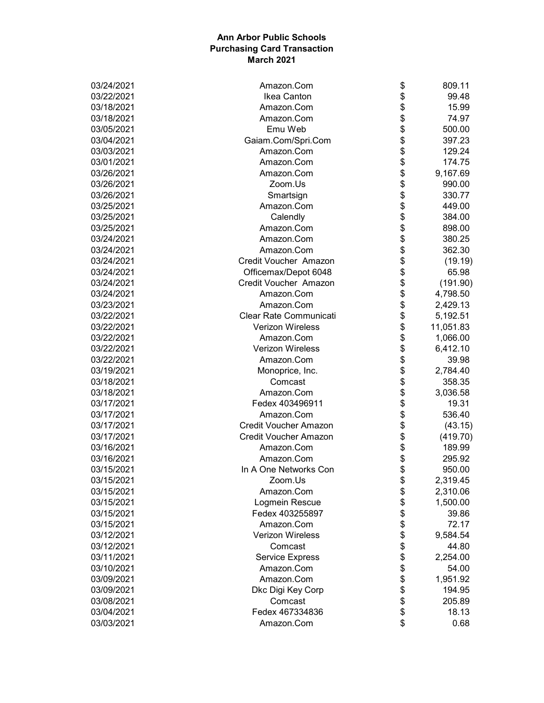| 03/24/2021 | Amazon.Com                   | \$<br>809.11    |
|------------|------------------------------|-----------------|
| 03/22/2021 | Ikea Canton                  | \$<br>99.48     |
| 03/18/2021 | Amazon.Com                   | \$<br>15.99     |
| 03/18/2021 | Amazon.Com                   | \$<br>74.97     |
| 03/05/2021 | Emu Web                      | \$<br>500.00    |
| 03/04/2021 | Gaiam.Com/Spri.Com           | \$<br>397.23    |
| 03/03/2021 | Amazon.Com                   | \$<br>129.24    |
| 03/01/2021 | Amazon.Com                   | \$<br>174.75    |
| 03/26/2021 | Amazon.Com                   | \$<br>9,167.69  |
| 03/26/2021 | Zoom.Us                      | \$<br>990.00    |
| 03/26/2021 | Smartsign                    | \$<br>330.77    |
| 03/25/2021 | Amazon.Com                   | \$<br>449.00    |
| 03/25/2021 | Calendly                     | \$<br>384.00    |
| 03/25/2021 | Amazon.Com                   | \$<br>898.00    |
| 03/24/2021 | Amazon.Com                   | \$<br>380.25    |
| 03/24/2021 | Amazon.Com                   | \$<br>362.30    |
| 03/24/2021 | Credit Voucher Amazon        | \$<br>(19.19)   |
| 03/24/2021 | Officemax/Depot 6048         | \$<br>65.98     |
| 03/24/2021 | Credit Voucher Amazon        | \$<br>(191.90)  |
| 03/24/2021 | Amazon.Com                   | \$<br>4,798.50  |
| 03/23/2021 | Amazon.Com                   | \$<br>2,429.13  |
| 03/22/2021 | Clear Rate Communicati       | \$<br>5,192.51  |
| 03/22/2021 | <b>Verizon Wireless</b>      | \$<br>11,051.83 |
| 03/22/2021 | Amazon.Com                   | \$<br>1,066.00  |
| 03/22/2021 | <b>Verizon Wireless</b>      | \$<br>6,412.10  |
| 03/22/2021 | Amazon.Com                   | \$<br>39.98     |
| 03/19/2021 | Monoprice, Inc.              | \$<br>2,784.40  |
| 03/18/2021 | Comcast                      | \$<br>358.35    |
| 03/18/2021 | Amazon.Com                   | \$<br>3,036.58  |
| 03/17/2021 | Fedex 403496911              | \$<br>19.31     |
| 03/17/2021 | Amazon.Com                   | \$<br>536.40    |
| 03/17/2021 | <b>Credit Voucher Amazon</b> | \$<br>(43.15)   |
| 03/17/2021 | <b>Credit Voucher Amazon</b> | \$<br>(419.70)  |
| 03/16/2021 | Amazon.Com                   | \$<br>189.99    |
| 03/16/2021 | Amazon.Com                   | \$<br>295.92    |
| 03/15/2021 | In A One Networks Con        | \$<br>950.00    |
| 03/15/2021 | Zoom.Us                      | \$<br>2,319.45  |
| 03/15/2021 | Amazon.Com                   | \$<br>2,310.06  |
| 03/15/2021 | Logmein Rescue               | \$<br>1,500.00  |
| 03/15/2021 | Fedex 403255897              | \$<br>39.86     |
| 03/15/2021 | Amazon.Com                   | \$<br>72.17     |
| 03/12/2021 | <b>Verizon Wireless</b>      | \$<br>9,584.54  |
| 03/12/2021 | Comcast                      | \$<br>44.80     |
| 03/11/2021 | <b>Service Express</b>       | \$<br>2,254.00  |
| 03/10/2021 | Amazon.Com                   | \$<br>54.00     |
| 03/09/2021 | Amazon.Com                   | \$<br>1,951.92  |
| 03/09/2021 | Dkc Digi Key Corp            | \$<br>194.95    |
| 03/08/2021 | Comcast                      | \$<br>205.89    |
| 03/04/2021 | Fedex 467334836              | \$<br>18.13     |
| 03/03/2021 | Amazon.Com                   | \$<br>0.68      |